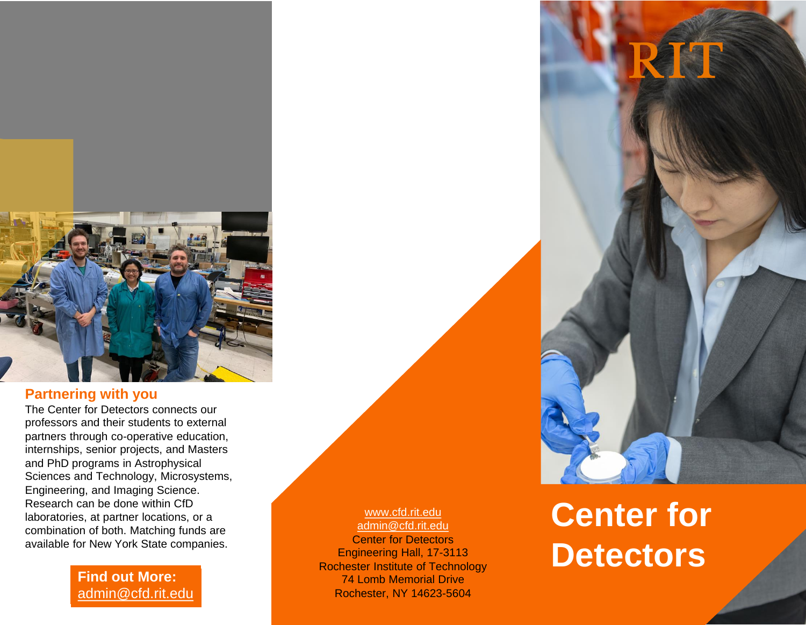

#### **Partnering with you**

The Center for Detectors connects our professors and their students to external partners through co -operative education, internships, senior projects, and Masters and PhD programs in Astrophysical Sciences and Technology, Microsystems, Engineering, and Imaging Science. Research can be done within CfD laboratories, at partner locations, or a combination of both. Matching funds are available for New York State companies.

> **Find out More:**  [admin@cfd.rit.edu](mailto:admin@cfd.rit.edu?subject=Partnering with CfD)

[www.cfd.rit.edu](http://www.cfd.rit.edu/) [admin@cfd.rit.edu](mailto:admin@cfd.rit.edu) Center for Detectors Engineering Hall, 17 -3113 Rochester Institute of Technology 74 Lomb Memorial Drive Rochester, NY 14623 -5604

# **Center for Detectors**

TOR